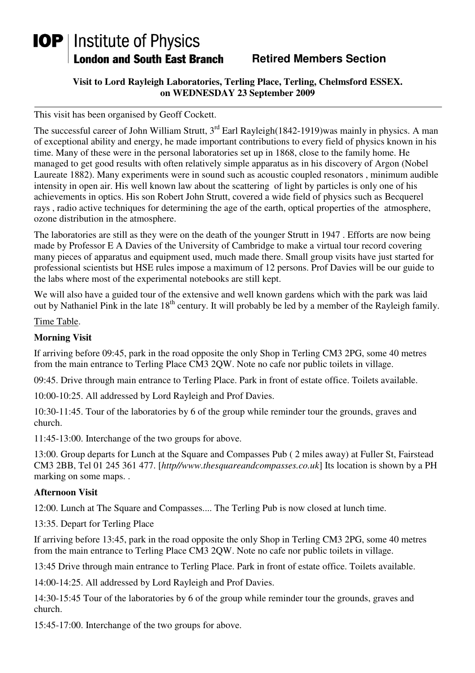## **IOP** | Institute of Physics **London and South East Branch**

## **Retired Members Section**

**Visit to Lord Rayleigh Laboratories, Terling Place, Terling, Chelmsford ESSEX. on WEDNESDAY 23 September 2009** 

This visit has been organised by Geoff Cockett.

The successful career of John William Strutt,  $3^{rd}$  Earl Rayleigh(1842-1919)was mainly in physics. A man of exceptional ability and energy, he made important contributions to every field of physics known in his time. Many of these were in the personal laboratories set up in 1868, close to the family home. He managed to get good results with often relatively simple apparatus as in his discovery of Argon (Nobel Laureate 1882). Many experiments were in sound such as acoustic coupled resonators , minimum audible intensity in open air. His well known law about the scattering of light by particles is only one of his achievements in optics. His son Robert John Strutt, covered a wide field of physics such as Becquerel rays , radio active techniques for determining the age of the earth, optical properties of the atmosphere, ozone distribution in the atmosphere.

The laboratories are still as they were on the death of the younger Strutt in 1947 . Efforts are now being made by Professor E A Davies of the University of Cambridge to make a virtual tour record covering many pieces of apparatus and equipment used, much made there. Small group visits have just started for professional scientists but HSE rules impose a maximum of 12 persons. Prof Davies will be our guide to the labs where most of the experimental notebooks are still kept.

We will also have a guided tour of the extensive and well known gardens which with the park was laid out by Nathaniel Pink in the late 18<sup>th</sup> century. It will probably be led by a member of the Rayleigh family.

Time Table.

## **Morning Visit**

If arriving before 09:45, park in the road opposite the only Shop in Terling CM3 2PG, some 40 metres from the main entrance to Terling Place CM3 2QW. Note no cafe nor public toilets in village.

09:45. Drive through main entrance to Terling Place. Park in front of estate office. Toilets available.

10:00-10:25. All addressed by Lord Rayleigh and Prof Davies.

10:30-11:45. Tour of the laboratories by 6 of the group while reminder tour the grounds, graves and church.

11:45-13:00. Interchange of the two groups for above.

13:00. Group departs for Lunch at the Square and Compasses Pub ( 2 miles away) at Fuller St, Fairstead CM3 2BB, Tel 01 245 361 477. [*http//www.thesquareandcompasses.co.uk*] Its location is shown by a PH marking on some maps. .

## **Afternoon Visit**

12:00. Lunch at The Square and Compasses.... The Terling Pub is now closed at lunch time.

13:35. Depart for Terling Place

If arriving before 13:45, park in the road opposite the only Shop in Terling CM3 2PG, some 40 metres from the main entrance to Terling Place CM3 2QW. Note no cafe nor public toilets in village.

13:45 Drive through main entrance to Terling Place. Park in front of estate office. Toilets available.

14:00-14:25. All addressed by Lord Rayleigh and Prof Davies.

14:30-15:45 Tour of the laboratories by 6 of the group while reminder tour the grounds, graves and church.

15:45-17:00. Interchange of the two groups for above.